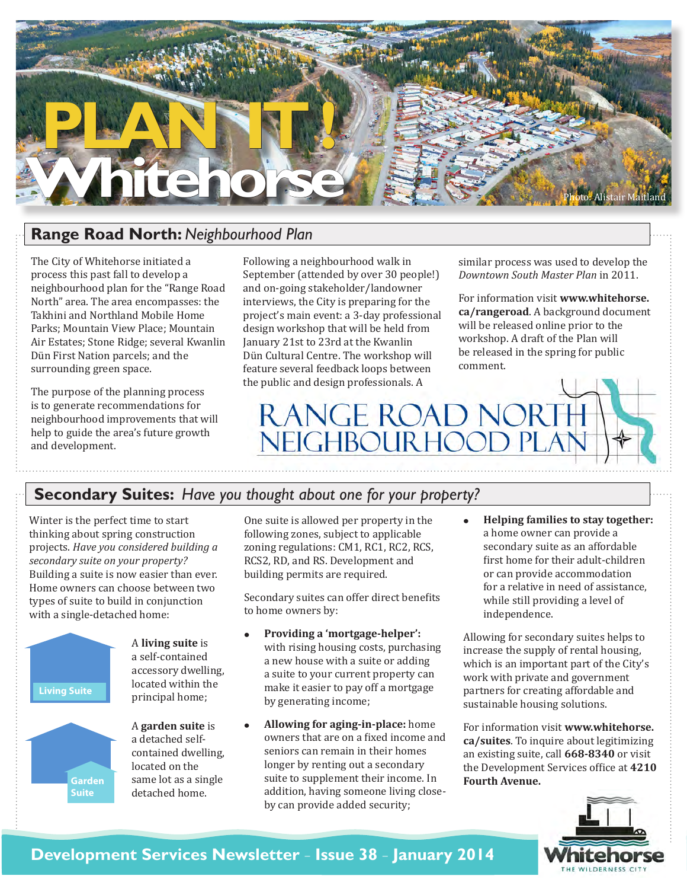

## **Range Road North:** *Neighbourhood Plan*

The City of Whitehorse initiated a process this past fall to develop a neighbourhood plan for the "Range Road North" area. The area encompasses: the Takhini and Northland Mobile Home Parks; Mountain View Place; Mountain Air Estates; Stone Ridge; several Kwanlin Dün First Nation parcels; and the surrounding green space.

The purpose of the planning process is to generate recommendations for neighbourhood improvements that will help to guide the area's future growth and development.

Following a neighbourhood walk in September (attended by over 30 people!) and on-going stakeholder/landowner interviews, the City is preparing for the project's main event: a 3-day professional design workshop that will be held from January 21st to 23rd at the Kwanlin Dün Cultural Centre. The workshop will feature several feedback loops between the public and design professionals. A

similar process was used to develop the *Downtown South Master Plan* in 2011.

For information visit **www.whitehorse. ca/rangeroad**. A background document will be released online prior to the workshop. A draft of the Plan will be released in the spring for public comment.



### **Secondary Suites:** *Have you thought about one for your property?*

Winter is the perfect time to start thinking about spring construction projects. *Have you considered building a secondary suite on your property?* Building a suite is now easier than ever. Home owners can choose between two types of suite to build in conjunction with a single-detached home:



**Garden Suite**

A **living suite** is a self-contained accessory dwelling, located within the principal home;

A **garden suite** is a detached selfcontained dwelling, located on the same lot as a single detached home.

One suite is allowed per property in the following zones, subject to applicable zoning regulations: CM1, RC1, RC2, RCS, RCS2, RD, and RS. Development and building permits are required.

Secondary suites can offer direct benefits to home owners by:

- **• Providing a 'mortgage-helper':** with rising housing costs, purchasing a new house with a suite or adding a suite to your current property can make it easier to pay off a mortgage by generating income;
- **• Allowing for aging-in-place:** home owners that are on a fixed income and seniors can remain in their homes longer by renting out a secondary suite to supplement their income. In addition, having someone living closeby can provide added security;

**Helping families to stay together:** a home owner can provide a secondary suite as an affordable first home for their adult-children or can provide accommodation for a relative in need of assistance, while still providing a level of independence.

Allowing for secondary suites helps to increase the supply of rental housing, which is an important part of the City's work with private and government partners for creating affordable and sustainable housing solutions.

For information visit **www.whitehorse. ca/suites**. To inquire about legitimizing an existing suite, call **668-8340** or visit the Development Services office at **4210 Fourth Avenue.** 



## **Development Services Newsletter** – **Issue 38** – **January 2014**